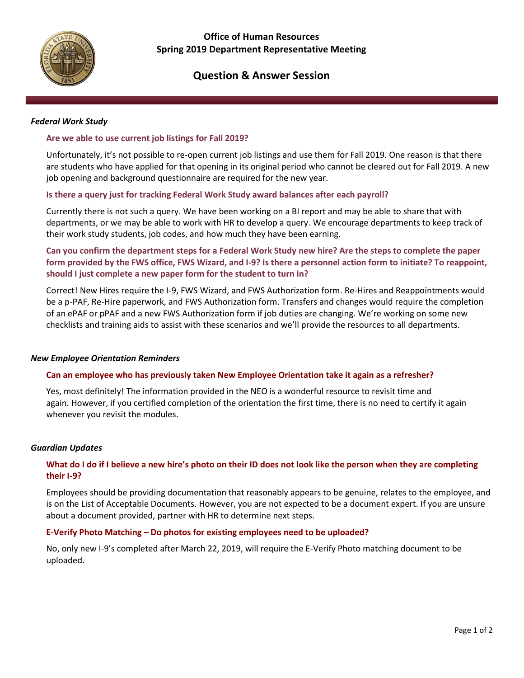

l.

# **Office of Human Resources Spring 2019 Department Representative Meeting**

# **Question & Answer Session**

### *Federal Work Study*

### **Are we able to use current job listings for Fall 2019?**

Unfortunately, it's not possible to re-open current job listings and use them for Fall 2019. One reason is that there are students who have applied for that opening in its original period who cannot be cleared out for Fall 2019. A new job opening and background questionnaire are required for the new year.

### **Is there a query just for tracking Federal Work Study award balances after each payroll?**

Currently there is not such a query. We have been working on a BI report and may be able to share that with departments, or we may be able to work with HR to develop a query. We encourage departments to keep track of their work study students, job codes, and how much they have been earning.

**Can you confirm the department steps for a Federal Work Study new hire? Are the steps to complete the paper form provided by the FWS office, FWS Wizard, and I-9? Is there a personnel action form to initiate? To reappoint, should I just complete a new paper form for the student to turn in?**

Correct! New Hires require the I-9, FWS Wizard, and FWS Authorization form. Re-Hires and Reappointments would be a p-PAF, Re-Hire paperwork, and FWS Authorization form. Transfers and changes would require the completion of an ePAF or pPAF and a new FWS Authorization form if job duties are changing. We're working on some new checklists and training aids to assist with these scenarios and we'll provide the resources to all departments.

### *New Employee Orientation Reminders*

### **Can an employee who has previously taken New Employee Orientation take it again as a refresher?**

Yes, most definitely! The information provided in the NEO is a wonderful resource to revisit time and again. However, if you certified completion of the orientation the first time, there is no need to certify it again whenever you revisit the modules.

### *Guardian Updates*

# **What do I do if I believe a new hire's photo on their ID does not look like the person when they are completing their I-9?**

Employees should be providing documentation that reasonably appears to be genuine, relates to the employee, and is on the List of Acceptable Documents. However, you are not expected to be a document expert. If you are unsure about a document provided, partner with HR to determine next steps.

# **E-Verify Photo Matching – Do photos for existing employees need to be uploaded?**

No, only new I-9's completed after March 22, 2019, will require the E-Verify Photo matching document to be uploaded.